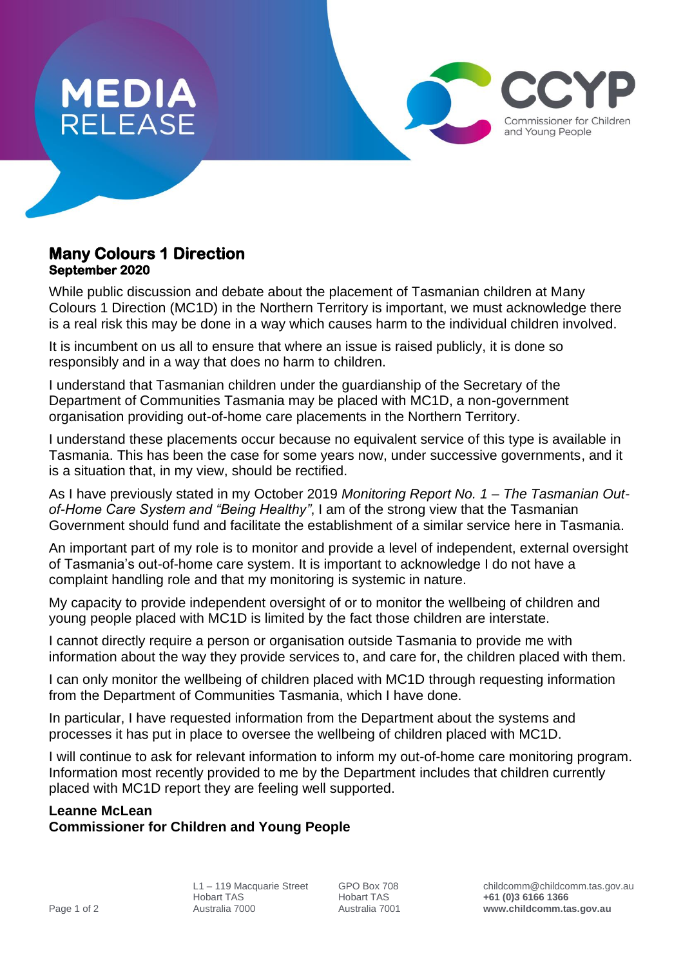

## **Many Colours 1 Direction September 2020**

While public discussion and debate about the placement of Tasmanian children at Many Colours 1 Direction (MC1D) in the Northern Territory is important, we must acknowledge there is a real risk this may be done in a way which causes harm to the individual children involved.

It is incumbent on us all to ensure that where an issue is raised publicly, it is done so responsibly and in a way that does no harm to children.

I understand that Tasmanian children under the guardianship of the Secretary of the Department of Communities Tasmania may be placed with MC1D, a non-government organisation providing out-of-home care placements in the Northern Territory.

I understand these placements occur because no equivalent service of this type is available in Tasmania. This has been the case for some years now, under successive governments, and it is a situation that, in my view, should be rectified.

As I have previously stated in my October 2019 *Monitoring Report No. 1 – The Tasmanian Outof-Home Care System and "Being Healthy"*, I am of the strong view that the Tasmanian Government should fund and facilitate the establishment of a similar service here in Tasmania.

An important part of my role is to monitor and provide a level of independent, external oversight of Tasmania's out-of-home care system. It is important to acknowledge I do not have a complaint handling role and that my monitoring is systemic in nature.

My capacity to provide independent oversight of or to monitor the wellbeing of children and young people placed with MC1D is limited by the fact those children are interstate.

I cannot directly require a person or organisation outside Tasmania to provide me with information about the way they provide services to, and care for, the children placed with them.

I can only monitor the wellbeing of children placed with MC1D through requesting information from the Department of Communities Tasmania, which I have done.

In particular, I have requested information from the Department about the systems and processes it has put in place to oversee the wellbeing of children placed with MC1D.

I will continue to ask for relevant information to inform my out-of-home care monitoring program. Information most recently provided to me by the Department includes that children currently placed with MC1D report they are feeling well supported.

## **Leanne McLean**

## **Commissioner for Children and Young People**

Commissioner for Children and Young People